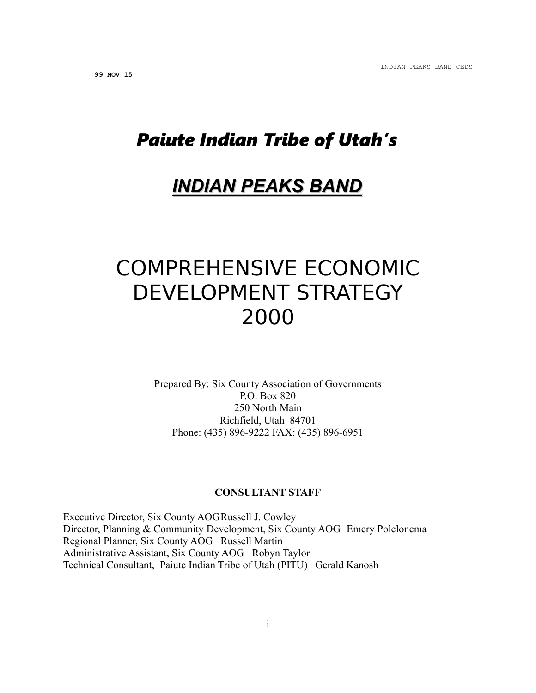# *Paiute Indian Tribe of Utah's*

# *INDIAN PEAKS BAND*

# COMPREHENSIVE ECONOMIC DEVELOPMENT STRATEGY 2000

Prepared By: Six County Association of Governments P.O. Box 820 250 North Main Richfield, Utah 84701 Phone: (435) 896-9222 FAX: (435) 896-6951

#### **CONSULTANT STAFF**

Executive Director, Six County AOGRussell J. Cowley Director, Planning & Community Development, Six County AOG Emery Polelonema Regional Planner, Six County AOG Russell Martin Administrative Assistant, Six County AOG Robyn Taylor Technical Consultant, Paiute Indian Tribe of Utah (PITU) Gerald Kanosh

i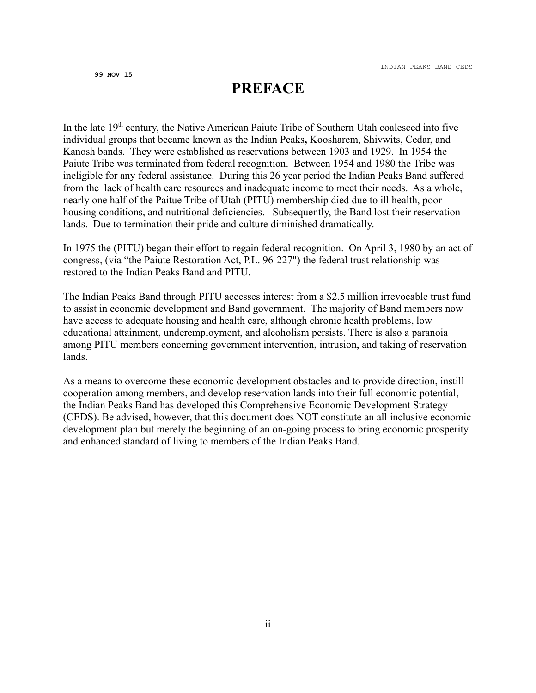# **PREFACE**

In the late  $19<sup>th</sup>$  century, the Native American Paiute Tribe of Southern Utah coalesced into five individual groups that became known as the Indian Peaks**,** Koosharem, Shivwits, Cedar, and Kanosh bands. They were established as reservations between 1903 and 1929. In 1954 the Paiute Tribe was terminated from federal recognition. Between 1954 and 1980 the Tribe was ineligible for any federal assistance. During this 26 year period the Indian Peaks Band suffered from the lack of health care resources and inadequate income to meet their needs. As a whole, nearly one half of the Paitue Tribe of Utah (PITU) membership died due to ill health, poor housing conditions, and nutritional deficiencies. Subsequently, the Band lost their reservation lands. Due to termination their pride and culture diminished dramatically.

In 1975 the (PITU) began their effort to regain federal recognition. On April 3, 1980 by an act of congress, (via "the Paiute Restoration Act, P.L. 96-227") the federal trust relationship was restored to the Indian Peaks Band and PITU.

The Indian Peaks Band through PITU accesses interest from a \$2.5 million irrevocable trust fund to assist in economic development and Band government. The majority of Band members now have access to adequate housing and health care, although chronic health problems, low educational attainment, underemployment, and alcoholism persists. There is also a paranoia among PITU members concerning government intervention, intrusion, and taking of reservation lands.

As a means to overcome these economic development obstacles and to provide direction, instill cooperation among members, and develop reservation lands into their full economic potential, the Indian Peaks Band has developed this Comprehensive Economic Development Strategy (CEDS). Be advised, however, that this document does NOT constitute an all inclusive economic development plan but merely the beginning of an on-going process to bring economic prosperity and enhanced standard of living to members of the Indian Peaks Band.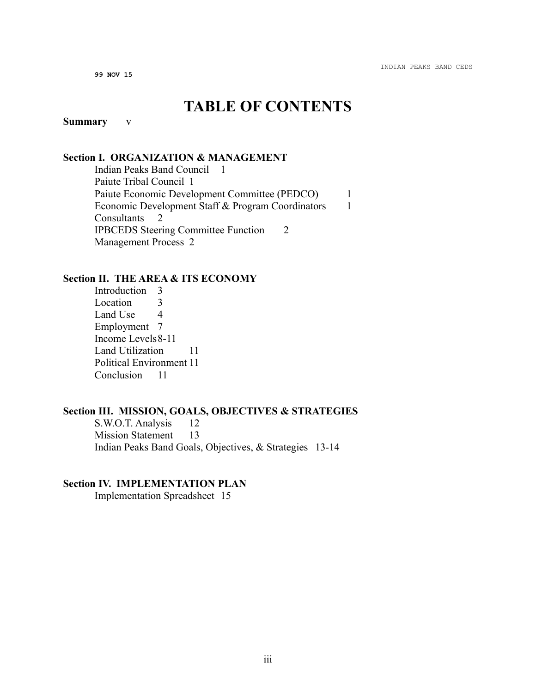# **TABLE OF CONTENTS**

# **Summary** v

## **Section I. ORGANIZATION & MANAGEMENT**

Indian Peaks Band Council 1 Paiute Tribal Council 1 Paiute Economic Development Committee (PEDCO) 1 Economic Development Staff & Program Coordinators 1 Consultants 2 IPBCEDS Steering Committee Function 2 Management Process 2

## **Section II. THE AREA & ITS ECONOMY**

Introduction 3 Location 3 Land Use 4 Employment 7 Income Levels8-11 Land Utilization 11 Political Environment 11 Conclusion 11

## **Section III. MISSION, GOALS, OBJECTIVES & STRATEGIES**

S.W.O.T. Analysis 12 Mission Statement 13 Indian Peaks Band Goals, Objectives, & Strategies 13-14

# **Section IV. IMPLEMENTATION PLAN**

Implementation Spreadsheet 15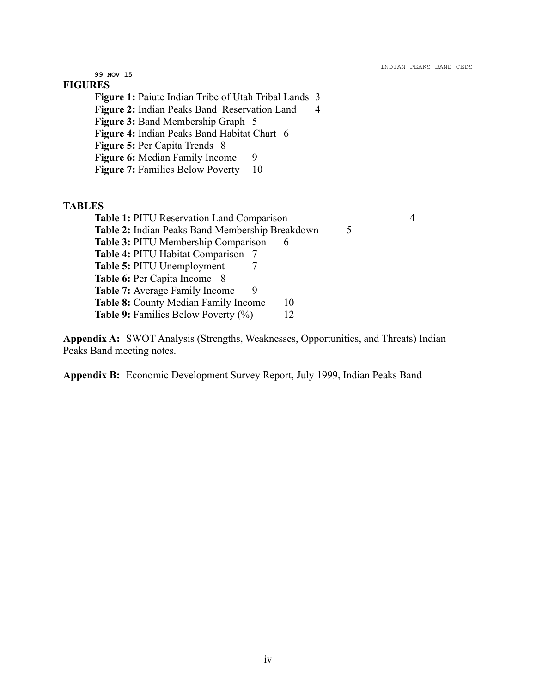**99 NOV 15 FIGURES Figure 1:** Paiute Indian Tribe of Utah Tribal Lands 3 **Figure 2:** Indian Peaks Band Reservation Land 4 **Figure 3:** Band Membership Graph 5 **Figure 4:** Indian Peaks Band Habitat Chart 6 **Figure 5:** Per Capita Trends 8 **Figure 6:** Median Family Income 9 **Figure 7: Families Below Poverty** 10 **TABLES Table 1:** PITU Reservation Land Comparison 4 Table 2: Indian Peaks Band Membership Breakdown 5 **Table 3: PITU Membership Comparison 6 Table 4:** PITU Habitat Comparison 7 **Table 5:** PITU Unemployment 7 **Table 6: Per Capita Income** 8 **Table 7:** Average Family Income 9 **Table 8:** County Median Family Income 10 **Table 9:** Families Below Poverty (%) 12

**Appendix A:** SWOT Analysis (Strengths, Weaknesses, Opportunities, and Threats) Indian Peaks Band meeting notes.

**Appendix B:** Economic Development Survey Report, July 1999, Indian Peaks Band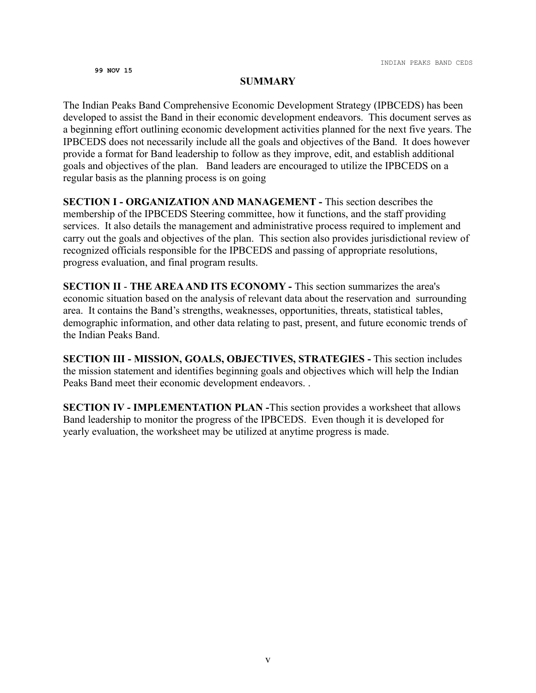#### **SUMMARY**

The Indian Peaks Band Comprehensive Economic Development Strategy (IPBCEDS) has been developed to assist the Band in their economic development endeavors. This document serves as a beginning effort outlining economic development activities planned for the next five years. The IPBCEDS does not necessarily include all the goals and objectives of the Band. It does however provide a format for Band leadership to follow as they improve, edit, and establish additional goals and objectives of the plan. Band leaders are encouraged to utilize the IPBCEDS on a regular basis as the planning process is on going

**SECTION I - ORGANIZATION AND MANAGEMENT -** This section describes the membership of the IPBCEDS Steering committee, how it functions, and the staff providing services. It also details the management and administrative process required to implement and carry out the goals and objectives of the plan. This section also provides jurisdictional review of recognized officials responsible for the IPBCEDS and passing of appropriate resolutions, progress evaluation, and final program results.

**SECTION II** - **THE AREA AND ITS ECONOMY -** This section summarizes the area's economic situation based on the analysis of relevant data about the reservation and surrounding area. It contains the Band's strengths, weaknesses, opportunities, threats, statistical tables, demographic information, and other data relating to past, present, and future economic trends of the Indian Peaks Band.

**SECTION III - MISSION, GOALS, OBJECTIVES, STRATEGIES -** This section includes the mission statement and identifies beginning goals and objectives which will help the Indian Peaks Band meet their economic development endeavors. .

**SECTION IV - IMPLEMENTATION PLAN -**This section provides a worksheet that allows Band leadership to monitor the progress of the IPBCEDS. Even though it is developed for yearly evaluation, the worksheet may be utilized at anytime progress is made.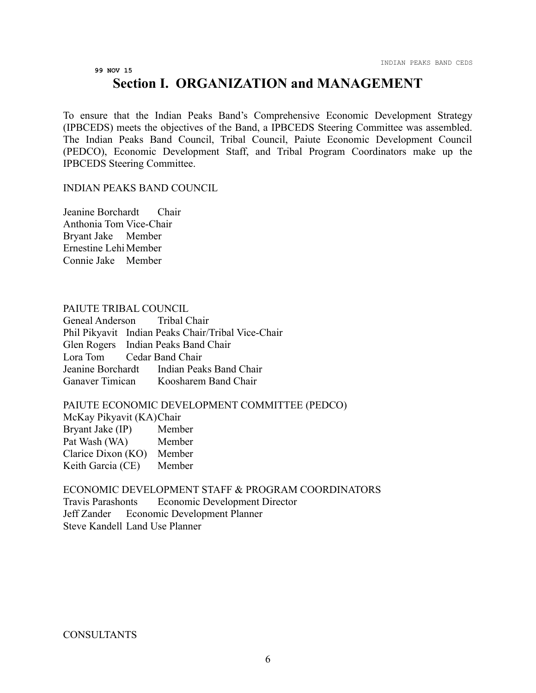# **99 NOV 15 Section I. ORGANIZATION and MANAGEMENT**

To ensure that the Indian Peaks Band's Comprehensive Economic Development Strategy (IPBCEDS) meets the objectives of the Band, a IPBCEDS Steering Committee was assembled. The Indian Peaks Band Council, Tribal Council, Paiute Economic Development Council (PEDCO), Economic Development Staff, and Tribal Program Coordinators make up the IPBCEDS Steering Committee.

#### INDIAN PEAKS BAND COUNCIL

Jeanine Borchardt Chair Anthonia Tom Vice-Chair Bryant Jake Member Ernestine LehiMember Connie Jake Member

#### PAIUTE TRIBAL COUNCIL

Geneal Anderson Tribal Chair Phil Pikyavit Indian Peaks Chair/Tribal Vice-Chair Glen Rogers Indian Peaks Band Chair Lora Tom Cedar Band Chair Jeanine Borchardt Indian Peaks Band Chair Ganaver Timican Koosharem Band Chair

## PAIUTE ECONOMIC DEVELOPMENT COMMITTEE (PEDCO)

McKay Pikyavit (KA)Chair Bryant Jake (IP) Member Pat Wash (WA) Member Clarice Dixon (KO) Member Keith Garcia (CE) Member

ECONOMIC DEVELOPMENT STAFF & PROGRAM COORDINATORS Travis Parashonts Economic Development Director Jeff Zander Economic Development Planner Steve Kandell Land Use Planner

**CONSULTANTS**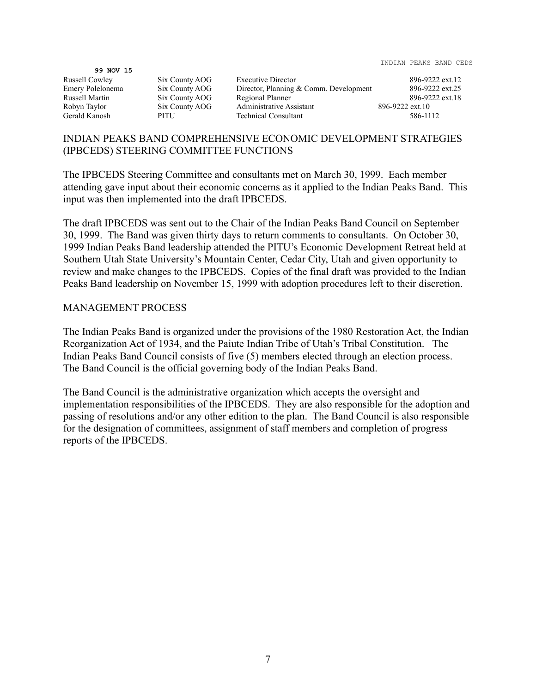99 NOV 15<br>Russell Cowley

Six County AOG Executive Director 896-9222 ext.12 Emery Polelonema Six County AOG Director, Planning & Comm. Development 896-9222 ext.25<br>Russell Martin Six County AOG Regional Planner 896-9222 ext.18 Russell Martin Six County AOG Regional Planner 896-9222 ext.18 Robyn Taylor Six County AOG Administrative Assistant 896-9222 ext.10<br>Gerald Kanosh PITU Technical Consultant 586-11 PITU Technical Consultant 586-1112

# INDIAN PEAKS BAND COMPREHENSIVE ECONOMIC DEVELOPMENT STRATEGIES (IPBCEDS) STEERING COMMITTEE FUNCTIONS

The IPBCEDS Steering Committee and consultants met on March 30, 1999. Each member attending gave input about their economic concerns as it applied to the Indian Peaks Band. This input was then implemented into the draft IPBCEDS.

The draft IPBCEDS was sent out to the Chair of the Indian Peaks Band Council on September 30, 1999. The Band was given thirty days to return comments to consultants. On October 30, 1999 Indian Peaks Band leadership attended the PITU's Economic Development Retreat held at Southern Utah State University's Mountain Center, Cedar City, Utah and given opportunity to review and make changes to the IPBCEDS. Copies of the final draft was provided to the Indian Peaks Band leadership on November 15, 1999 with adoption procedures left to their discretion.

# MANAGEMENT PROCESS

The Indian Peaks Band is organized under the provisions of the 1980 Restoration Act, the Indian Reorganization Act of 1934, and the Paiute Indian Tribe of Utah's Tribal Constitution. The Indian Peaks Band Council consists of five (5) members elected through an election process. The Band Council is the official governing body of the Indian Peaks Band.

The Band Council is the administrative organization which accepts the oversight and implementation responsibilities of the IPBCEDS. They are also responsible for the adoption and passing of resolutions and/or any other edition to the plan. The Band Council is also responsible for the designation of committees, assignment of staff members and completion of progress reports of the IPBCEDS.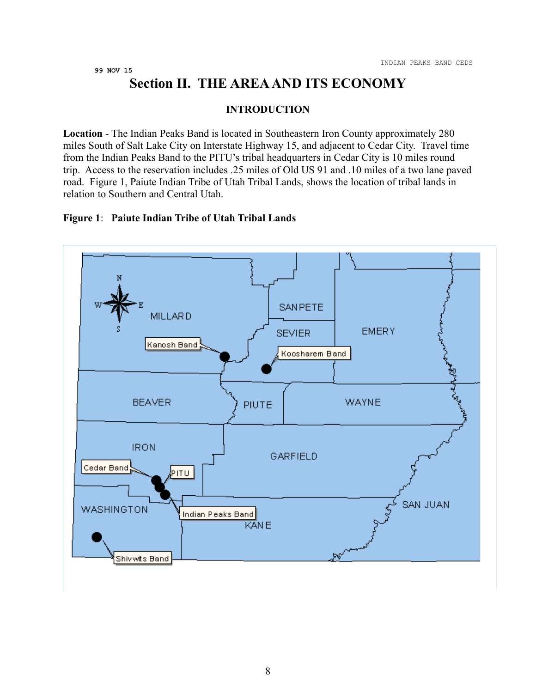# **Section II. THE AREA AND ITS ECONOMY**

#### **INTRODUCTION**

**Location** - The Indian Peaks Band is located in Southeastern Iron County approximately 280 miles South of Salt Lake City on Interstate Highway 15, and adjacent to Cedar City. Travel time from the Indian Peaks Band to the PITU's tribal headquarters in Cedar City is 10 miles round trip. Access to the reservation includes .25 miles of Old US 91 and .10 miles of a two lane paved road. Figure 1, Paiute Indian Tribe of Utah Tribal Lands, shows the location of tribal lands in relation to Southern and Central Utah.

# **Figure 1**: **Paiute Indian Tribe of Utah Tribal Lands**

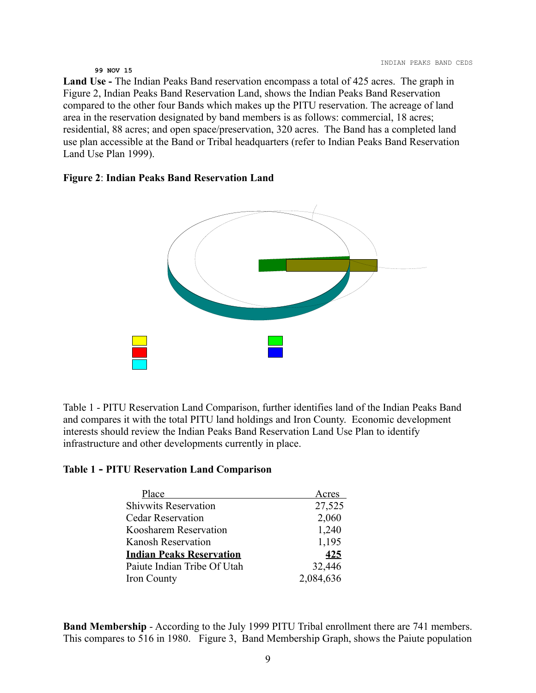**Land Use -** The Indian Peaks Band reservation encompass a total of 425 acres. The graph in Figure 2, Indian Peaks Band Reservation Land, shows the Indian Peaks Band Reservation compared to the other four Bands which makes up the PITU reservation. The acreage of land area in the reservation designated by band members is as follows: commercial, 18 acres; residential, 88 acres; and open space/preservation, 320 acres. The Band has a completed land use plan accessible at the Band or Tribal headquarters (refer to Indian Peaks Band Reservation Land Use Plan 1999).

#### **Figure 2**: **Indian Peaks Band Reservation Land**



Table 1 - PITU Reservation Land Comparison, further identifies land of the Indian Peaks Band and compares it with the total PITU land holdings and Iron County. Economic development interests should review the Indian Peaks Band Reservation Land Use Plan to identify infrastructure and other developments currently in place.

#### **Table 1 - PITU Reservation Land Comparison**

| Place                           | Acres     |
|---------------------------------|-----------|
| <b>Shivwits Reservation</b>     | 27,525    |
| <b>Cedar Reservation</b>        | 2,060     |
| Koosharem Reservation           | 1,240     |
| <b>Kanosh Reservation</b>       | 1,195     |
| <b>Indian Peaks Reservation</b> | 425       |
| Paiute Indian Tribe Of Utah     | 32,446    |
| Iron County                     | 2,084,636 |

**Band Membership** - According to the July 1999 PITU Tribal enrollment there are 741 members. This compares to 516 in 1980. Figure 3, Band Membership Graph, shows the Paiute population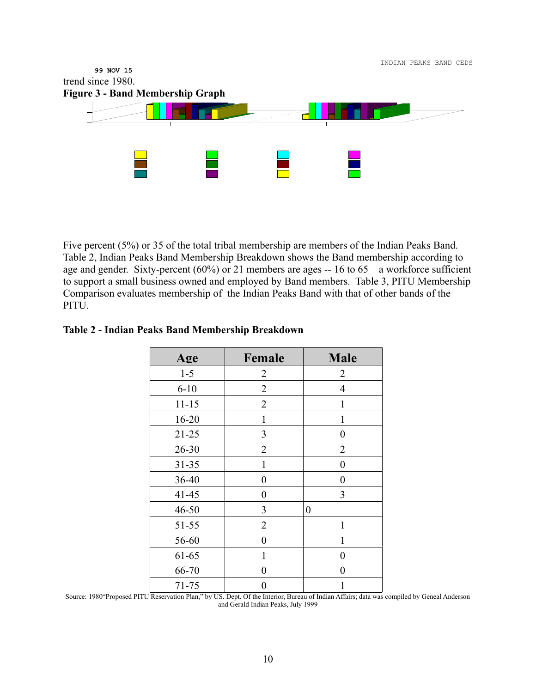

Five percent (5%) or 35 of the total tribal membership are members of the Indian Peaks Band. Table 2, Indian Peaks Band Membership Breakdown shows the Band membership according to age and gender. Sixty-percent (60%) or 21 members are ages -- 16 to 65 – a workforce sufficient to support a small business owned and employed by Band members. Table 3, PITU Membership Comparison evaluates membership of the Indian Peaks Band with that of other bands of the PITU.

| Age       | Female           | <b>Male</b>      |
|-----------|------------------|------------------|
| $1 - 5$   | 2                | $\overline{2}$   |
| $6 - 10$  | 2                | $\overline{4}$   |
| $11 - 15$ | 2                | 1                |
| $16 - 20$ | 1                | 1                |
| $21 - 25$ | 3                | $\boldsymbol{0}$ |
| $26 - 30$ | 2                | $\overline{2}$   |
| $31 - 35$ | 1                | $\boldsymbol{0}$ |
| 36-40     | $\boldsymbol{0}$ | $\boldsymbol{0}$ |
| $41 - 45$ | $\boldsymbol{0}$ | 3                |
| $46 - 50$ | 3                | 0                |
| 51-55     | $\overline{2}$   | 1                |
| 56-60     | $\overline{0}$   | 1                |
| 61-65     | 1                | $\boldsymbol{0}$ |
| 66-70     | $\boldsymbol{0}$ | $\overline{0}$   |
| $71 - 75$ | 0                | 1                |

Source: 1980"Proposed PITU Reservation Plan," by US. Dept. Of the Interior, Bureau of Indian Affairs; data was compiled by Geneal Anderson and Gerald Indian Peaks, July 1999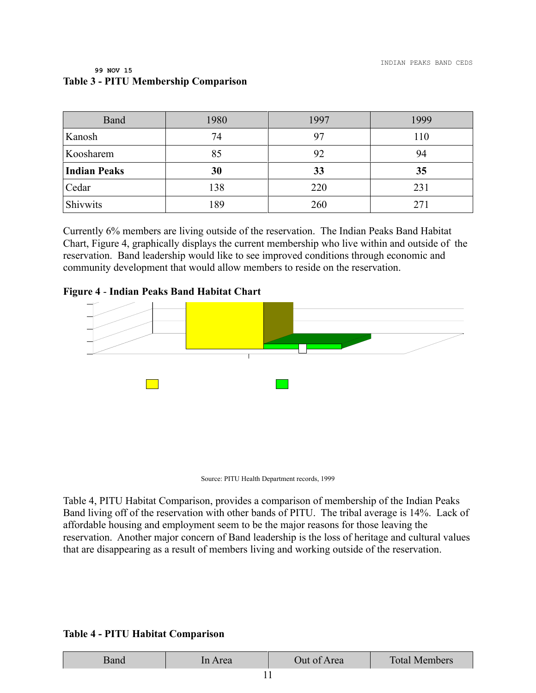| Band                | 1980 | 1997 | 1999 |
|---------------------|------|------|------|
| Kanosh              | 74   | 97   | 110  |
| Koosharem           | 85   | 92   | 94   |
| <b>Indian Peaks</b> | 30   | 33   | 35   |
| Cedar               | 138  | 220  | 231  |
| Shivwits            | 189  | 260  | 271  |

#### **99 NOV 15 Table 3 - PITU Membership Comparison**

Currently 6% members are living outside of the reservation. The Indian Peaks Band Habitat Chart, Figure 4, graphically displays the current membership who live within and outside of the reservation. Band leadership would like to see improved conditions through economic and community development that would allow members to reside on the reservation.

## **Figure 4** - **Indian Peaks Band Habitat Chart**





Table 4, PITU Habitat Comparison, provides a comparison of membership of the Indian Peaks Band living off of the reservation with other bands of PITU. The tribal average is 14%. Lack of affordable housing and employment seem to be the major reasons for those leaving the reservation. Another major concern of Band leadership is the loss of heritage and cultural values that are disappearing as a result of members living and working outside of the reservation.

#### **Table 4 - PITU Habitat Comparison**

| $\lambda$ | rea            | Out of | <b>Total Members</b> |
|-----------|----------------|--------|----------------------|
| рапи      | $\overline{A}$ | Area   |                      |
|           |                |        |                      |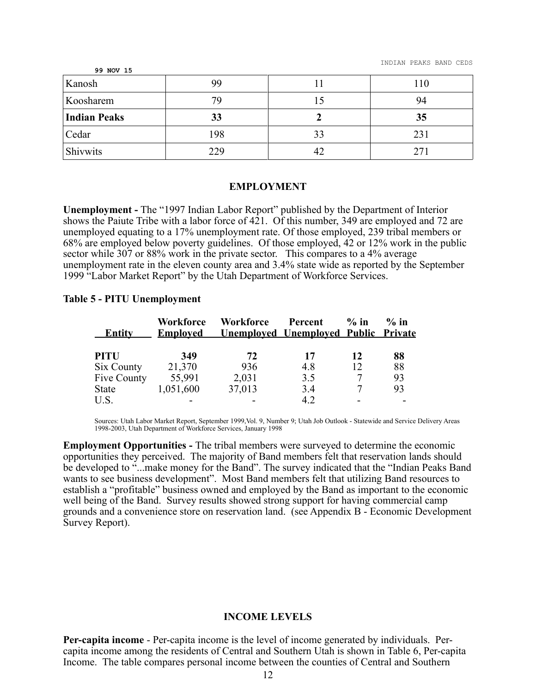| <b>SA MOA TP</b>    |     |    |     |
|---------------------|-----|----|-----|
| Kanosh              | 99  |    | 110 |
| Koosharem           | 79  |    | 94  |
| <b>Indian Peaks</b> | 33  |    | 35  |
| Cedar               | 198 | 33 | 231 |
| Shivwits            | 229 | 42 |     |

#### **EMPLOYMENT**

**Unemployment -** The "1997 Indian Labor Report" published by the Department of Interior shows the Paiute Tribe with a labor force of 421. Of this number, 349 are employed and 72 are unemployed equating to a 17% unemployment rate. Of those employed, 239 tribal members or 68% are employed below poverty guidelines. Of those employed, 42 or 12% work in the public sector while 307 or 88% work in the private sector. This compares to a 4% average unemployment rate in the eleven county area and 3.4% state wide as reported by the September 1999 "Labor Market Report" by the Utah Department of Workforce Services.

#### **Table 5 - PITU Unemployment**

**99 NOV 15**

| <b>Entity</b> | <b>Workforce</b><br><b>Employed</b> | <b>Workforce</b> | Percent<br><b>Unemployed Unemployed Public Private</b> | $\%$ in | $%$ in |
|---------------|-------------------------------------|------------------|--------------------------------------------------------|---------|--------|
| <b>PITU</b>   | 349                                 | 72               | 17                                                     | 12      | 88     |
| Six County    | 21,370                              | 936              | 4.8                                                    | 12      | 88     |
| Five County   | 55,991                              | 2,031            | 3.5                                                    |         | 93     |
| <b>State</b>  | 1,051,600                           | 37,013           | 3.4                                                    |         | 93     |
| U.S.          |                                     |                  | 4.2                                                    |         |        |

Sources: Utah Labor Market Report, September 1999,Vol. 9, Number 9; Utah Job Outlook - Statewide and Service Delivery Areas 1998-2003, Utah Department of Workforce Services, January 1998

**Employment Opportunities -** The tribal members were surveyed to determine the economic opportunities they perceived. The majority of Band members felt that reservation lands should be developed to "...make money for the Band". The survey indicated that the "Indian Peaks Band wants to see business development". Most Band members felt that utilizing Band resources to establish a "profitable" business owned and employed by the Band as important to the economic well being of the Band. Survey results showed strong support for having commercial camp grounds and a convenience store on reservation land. (see Appendix B - Economic Development Survey Report).

#### **INCOME LEVELS**

**Per-capita income** - Per-capita income is the level of income generated by individuals. Percapita income among the residents of Central and Southern Utah is shown in Table 6, Per-capita Income. The table compares personal income between the counties of Central and Southern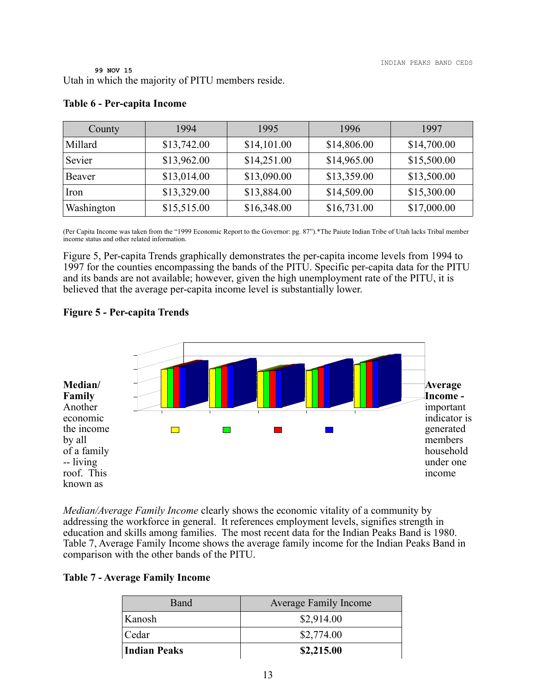**99 NOV 15** Utah in which the majority of PITU members reside.

| County     | 1994        | 1995        | 1996        | 1997        |
|------------|-------------|-------------|-------------|-------------|
| Millard    | \$13,742.00 | \$14,101.00 | \$14,806.00 | \$14,700.00 |
| Sevier     | \$13,962.00 | \$14,251.00 | \$14,965.00 | \$15,500.00 |
| Beaver     | \$13,014.00 | \$13,090.00 | \$13,359.00 | \$13,500.00 |
| Iron       | \$13,329.00 | \$13,884.00 | \$14,509.00 | \$15,300.00 |
| Washington | \$15,515.00 | \$16,348.00 | \$16,731.00 | \$17,000.00 |

#### **Table 6 - Per-capita Income**

(Per Capita Income was taken from the "1999 Economic Report to the Governor: pg. 87").\*The Paiute Indian Tribe of Utah lacks Tribal member income status and other related information.

Figure 5, Per-capita Trends graphically demonstrates the per-capita income levels from 1994 to 1997 for the counties encompassing the bands of the PITU. Specific per-capita data for the PITU and its bands are not available; however, given the high unemployment rate of the PITU, it is believed that the average per-capita income level is substantially lower.

# **Figure 5 - Per-capita Trends**



*Median/Average Family Income* clearly shows the economic vitality of a community by addressing the workforce in general. It references employment levels, signifies strength in education and skills among families. The most recent data for the Indian Peaks Band is 1980. Table 7, Average Family Income shows the average family income for the Indian Peaks Band in comparison with the other bands of the PITU.

# **Table 7 - Average Family Income**

| Band         | <b>Average Family Income</b> |
|--------------|------------------------------|
| Kanosh       | \$2,914.00                   |
| Cedar        | \$2,774.00                   |
| Indian Peaks | \$2,215.00                   |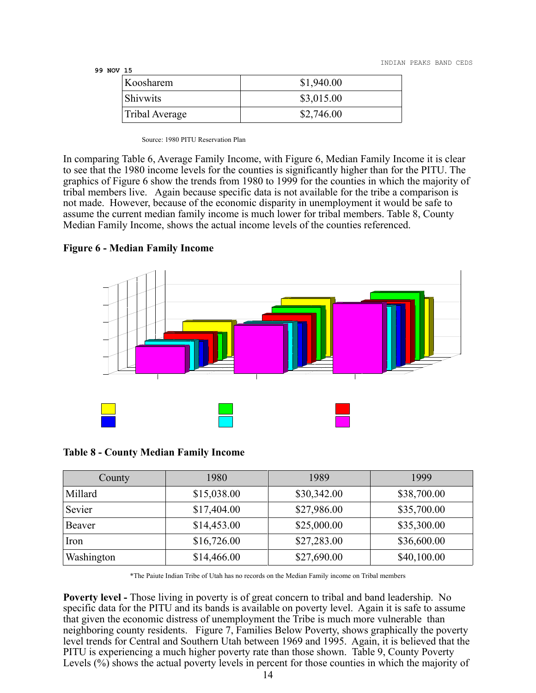INDIAN PEAKS BAND CEDS

#### **99 NOV 15**

| Koosharem       | \$1,940.00 |
|-----------------|------------|
| <b>Shivwits</b> | \$3,015.00 |
| Tribal Average  | \$2,746.00 |

Source: 1980 PITU Reservation Plan

In comparing Table 6, Average Family Income, with Figure 6, Median Family Income it is clear to see that the 1980 income levels for the counties is significantly higher than for the PITU. The graphics of Figure 6 show the trends from 1980 to 1999 for the counties in which the majority of tribal members live. Again because specific data is not available for the tribe a comparison is not made. However, because of the economic disparity in unemployment it would be safe to assume the current median family income is much lower for tribal members. Table 8, County Median Family Income, shows the actual income levels of the counties referenced.





| <b>Table 8 - County Median Family Income</b> |
|----------------------------------------------|
|----------------------------------------------|

| County     | 1980        | 1989        | 1999        |
|------------|-------------|-------------|-------------|
| Millard    | \$15,038.00 | \$30,342.00 | \$38,700.00 |
| Sevier     | \$17,404.00 | \$27,986.00 | \$35,700.00 |
| Beaver     | \$14,453.00 | \$25,000.00 | \$35,300.00 |
| Iron       | \$16,726.00 | \$27,283.00 | \$36,600.00 |
| Washington | \$14,466.00 | \$27,690.00 | \$40,100.00 |

\*The Paiute Indian Tribe of Utah has no records on the Median Family income on Tribal members

**Poverty level -** Those living in poverty is of great concern to tribal and band leadership. No specific data for the PITU and its bands is available on poverty level. Again it is safe to assume that given the economic distress of unemployment the Tribe is much more vulnerable than neighboring county residents. Figure 7, Families Below Poverty, shows graphically the poverty level trends for Central and Southern Utah between 1969 and 1995. Again, it is believed that the PITU is experiencing a much higher poverty rate than those shown. Table 9, County Poverty Levels (%) shows the actual poverty levels in percent for those counties in which the majority of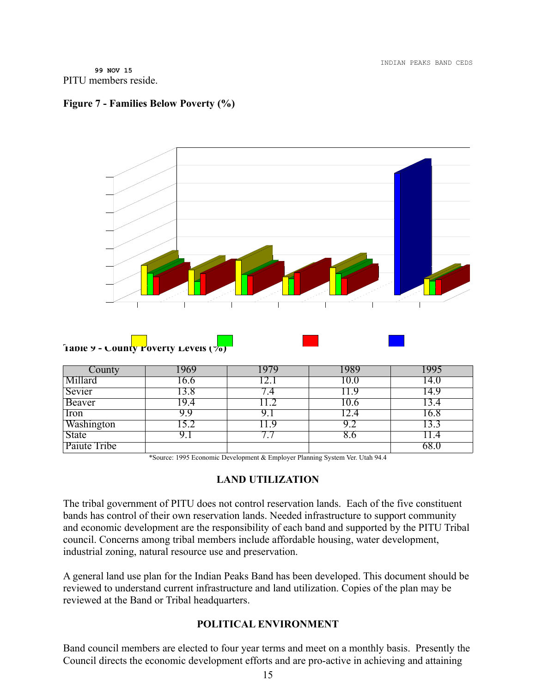INDIAN PEAKS BAND CEDS

**99 NOV 15** PITU members reside.

# **Figure 7 - Families Below Poverty (%)**



| County       | 969  |    |      |      |
|--------------|------|----|------|------|
| Millard      | 0.6  |    | l0.0 | 14.0 |
| Sevier       | .3.8 |    |      | .4.9 |
| Beaver       | L9.4 |    | 10.6 |      |
| Iron         | 9.9  |    |      | .6.8 |
| Washington   | 5.2  | .9 | 9.2  |      |
| <b>State</b> | 9. 1 |    | 8.0  | .4   |
| Paiute Tribe |      |    |      | 68.  |

\*Source: 1995 Economic Development & Employer Planning System Ver. Utah 94.4

# **LAND UTILIZATION**

The tribal government of PITU does not control reservation lands. Each of the five constituent bands has control of their own reservation lands. Needed infrastructure to support community and economic development are the responsibility of each band and supported by the PITU Tribal council. Concerns among tribal members include affordable housing, water development, industrial zoning, natural resource use and preservation.

A general land use plan for the Indian Peaks Band has been developed. This document should be reviewed to understand current infrastructure and land utilization. Copies of the plan may be reviewed at the Band or Tribal headquarters.

# **POLITICAL ENVIRONMENT**

Band council members are elected to four year terms and meet on a monthly basis. Presently the Council directs the economic development efforts and are pro-active in achieving and attaining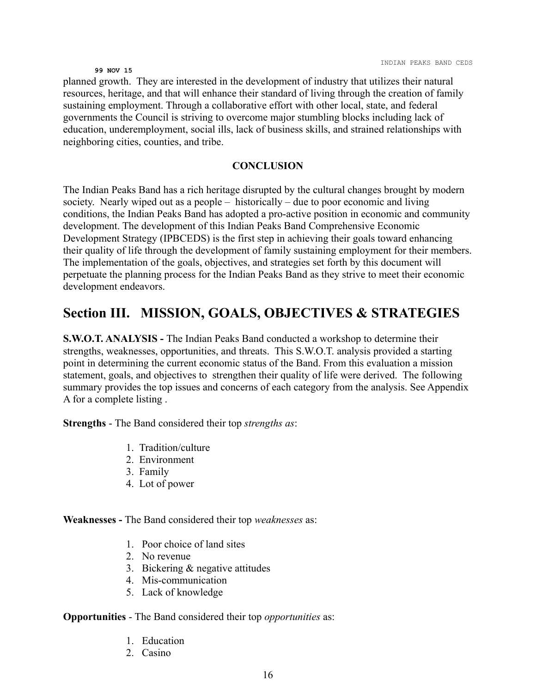planned growth. They are interested in the development of industry that utilizes their natural resources, heritage, and that will enhance their standard of living through the creation of family sustaining employment. Through a collaborative effort with other local, state, and federal governments the Council is striving to overcome major stumbling blocks including lack of education, underemployment, social ills, lack of business skills, and strained relationships with neighboring cities, counties, and tribe.

#### **CONCLUSION**

The Indian Peaks Band has a rich heritage disrupted by the cultural changes brought by modern society. Nearly wiped out as a people – historically – due to poor economic and living conditions, the Indian Peaks Band has adopted a pro-active position in economic and community development. The development of this Indian Peaks Band Comprehensive Economic Development Strategy (IPBCEDS) is the first step in achieving their goals toward enhancing their quality of life through the development of family sustaining employment for their members. The implementation of the goals, objectives, and strategies set forth by this document will perpetuate the planning process for the Indian Peaks Band as they strive to meet their economic development endeavors.

# **Section III. MISSION, GOALS, OBJECTIVES & STRATEGIES**

**S.W.O.T. ANALYSIS -** The Indian Peaks Band conducted a workshop to determine their strengths, weaknesses, opportunities, and threats. This S.W.O.T. analysis provided a starting point in determining the current economic status of the Band. From this evaluation a mission statement, goals, and objectives to strengthen their quality of life were derived. The following summary provides the top issues and concerns of each category from the analysis. See Appendix A for a complete listing .

**Strengths** - The Band considered their top *strengths as*:

- 1. Tradition/culture
- 2. Environment
- 3. Family
- 4. Lot of power

**Weaknesses -** The Band considered their top *weaknesses* as:

- 1. Poor choice of land sites
- 2. No revenue
- 3. Bickering & negative attitudes
- 4. Mis-communication
- 5. Lack of knowledge

#### **Opportunities** - The Band considered their top *opportunities* as:

- 1. Education
- 2. Casino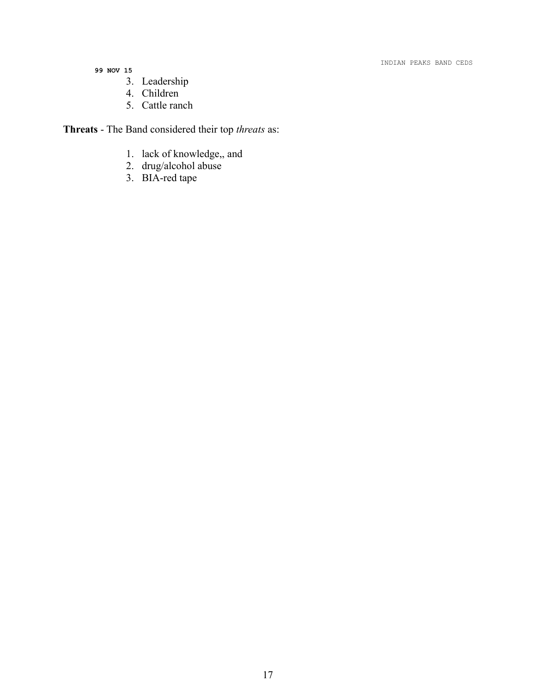#### INDIAN PEAKS BAND CEDS

- **99 NOV 15**
	- 3. Leadership
	- 4. Children
	- 5. Cattle ranch

**Threats** - The Band considered their top *threats* as:

- 1. lack of knowledge,, and
- 2. drug/alcohol abuse
- 3. BIA-red tape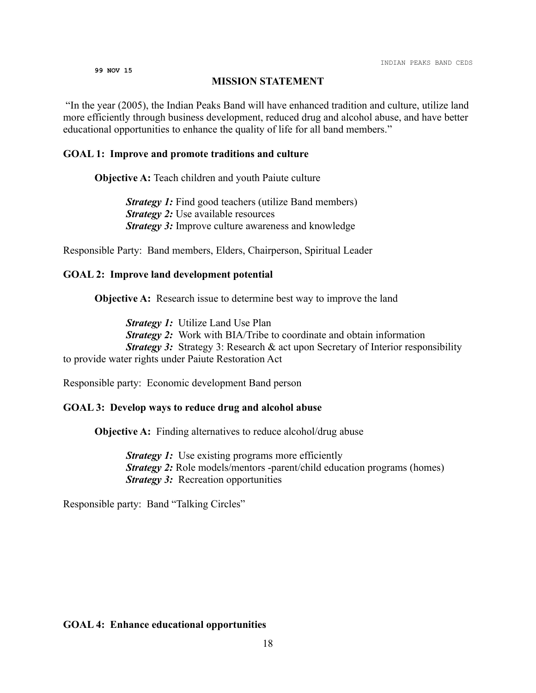#### **MISSION STATEMENT**

"In the year (2005), the Indian Peaks Band will have enhanced tradition and culture, utilize land more efficiently through business development, reduced drug and alcohol abuse, and have better educational opportunities to enhance the quality of life for all band members."

#### **GOAL 1: Improve and promote traditions and culture**

**Objective A:** Teach children and youth Paiute culture

*Strategy 1:* Find good teachers (utilize Band members) *Strategy 2:* Use available resources *Strategy 3:* Improve culture awareness and knowledge

Responsible Party: Band members, Elders, Chairperson, Spiritual Leader

#### **GOAL 2: Improve land development potential**

**Objective A:** Research issue to determine best way to improve the land

*Strategy 1:* Utilize Land Use Plan *Strategy 2:* Work with BIA/Tribe to coordinate and obtain information *Strategy 3:* Strategy 3: Research & act upon Secretary of Interior responsibility to provide water rights under Paiute Restoration Act

Responsible party: Economic development Band person

#### **GOAL 3: Develop ways to reduce drug and alcohol abuse**

**Objective A:** Finding alternatives to reduce alcohol/drug abuse

*Strategy 1:* Use existing programs more efficiently *Strategy 2:* Role models/mentors -parent/child education programs (homes) *Strategy 3:* Recreation opportunities

Responsible party: Band "Talking Circles"

#### **GOAL 4: Enhance educational opportunities**